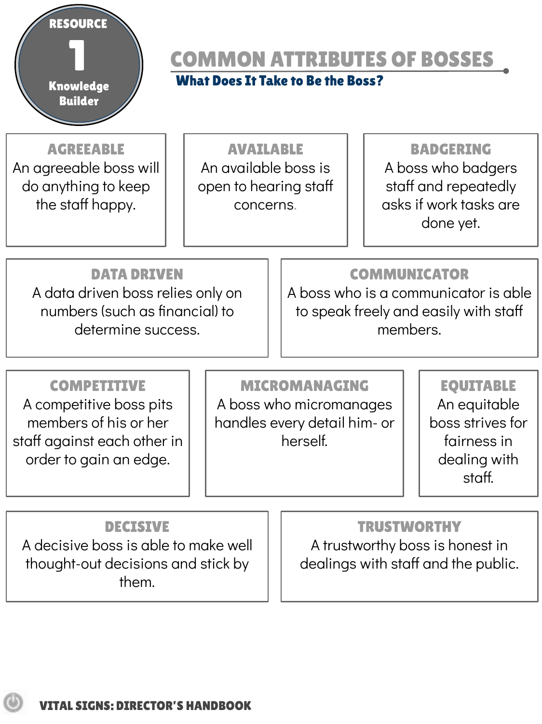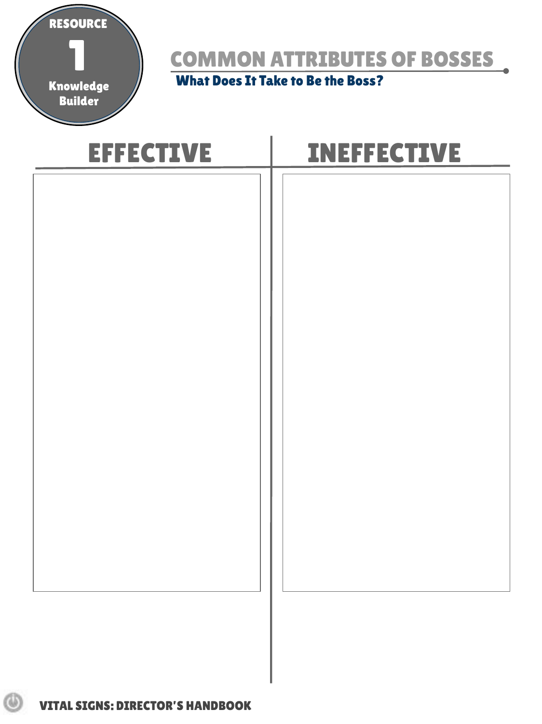

COMMON ATTRIBUTES OF BOSSES

What Does It Take to Be the Boss?

| <b>EFFECTIVE</b> | <b>INEFFECTIVE</b> |
|------------------|--------------------|
|                  |                    |
|                  |                    |
|                  |                    |
|                  |                    |
|                  |                    |
|                  |                    |
|                  |                    |
|                  |                    |
|                  |                    |
|                  |                    |
|                  |                    |
|                  |                    |
|                  |                    |
|                  |                    |

ω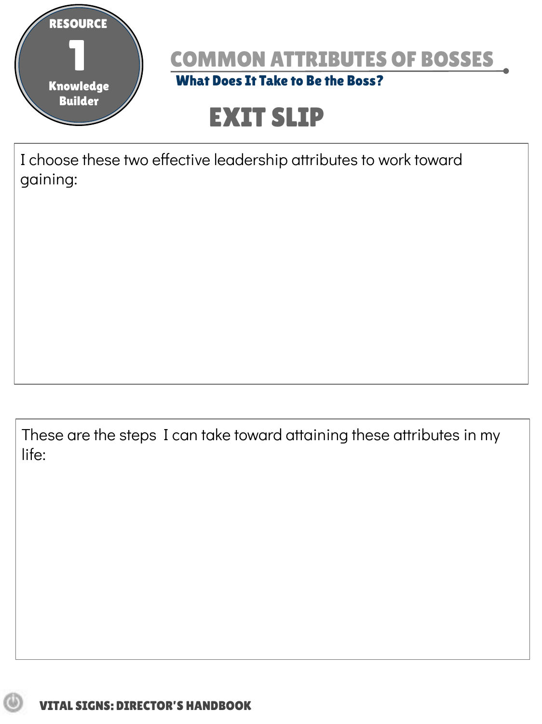



# EXIT SLIP

I choose these two effective leadership attributes to work toward gaining:

These are the steps I can take toward attaining these attributes in my life: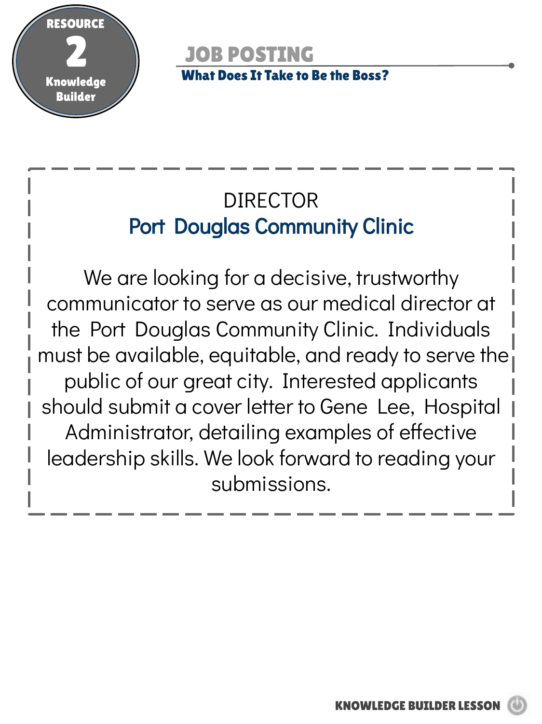

JOB POSTING What Does It Take to Be the Boss?

## DIRECTOR Port Douglas Community Clinic

We are looking for a decisive, trustworthy communicator to serve as our medical director at the Port Douglas Community Clinic. Individuals must be available, equitable, and ready to serve the public of our great city. Interested applicants should submit a cover letter to Gene Lee, Hospital Administrator, detailing examples of effective leadership skills. We look forward to reading your submissions.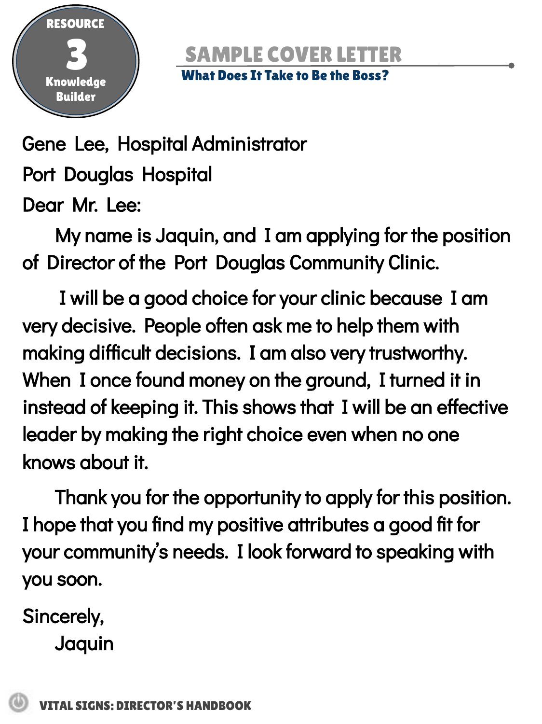

## **SAMPLE COVER LET**

#### What Does It Take to Be the Boss?

Gene Lee, Hospital Administrator Port Douglas Hospital Dear Mr. Lee:

My name is Jaquin, and I am applying for the position of Director of the Port Douglas Community Clinic.

 I will be a good choice for your clinic because I am very decisive. People often ask me to help them with making difficult decisions. I am also very trustworthy. When I once found money on the ground, I turned it in instead of keeping it. This shows that I will be an effective leader by making the right choice even when no one knows about it.

Thank you for the opportunity to apply for this position. I hope that you find my positive attributes a good fit for your community's needs. I look forward to speaking with you soon.

Sincerely, Jaquin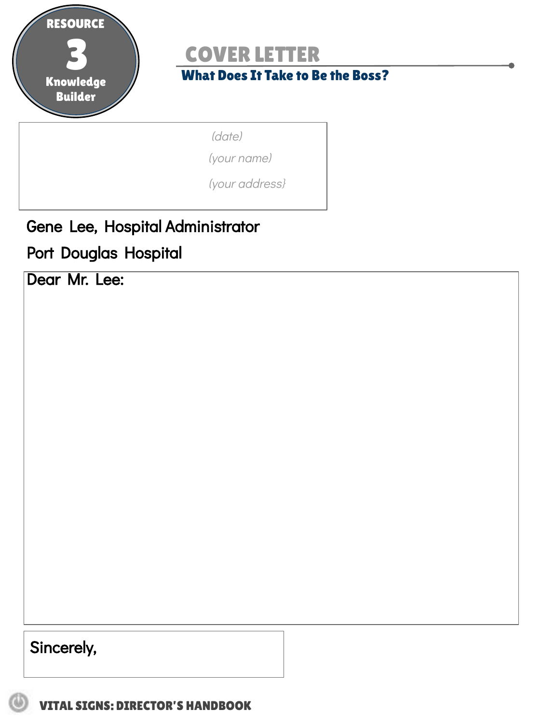

### COVER LETTER

#### What Does It Take to Be the Boss?

(date)

(your name)

(your address}

Gene Lee, Hospital Administrator

Port Douglas Hospital

Dear Mr. Lee:

Sincerely,